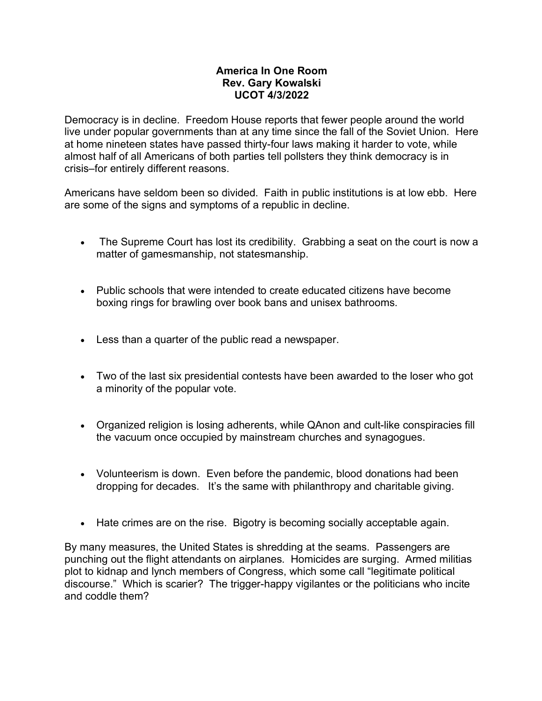## **America In One Room Rev. Gary Kowalski UCOT 4/3/2022**

Democracy is in decline. Freedom House reports that fewer people around the world live under popular governments than at any time since the fall of the Soviet Union. Here at home nineteen states have passed thirty-four laws making it harder to vote, while almost half of all Americans of both parties tell pollsters they think democracy is in crisis–for entirely different reasons.

Americans have seldom been so divided. Faith in public institutions is at low ebb. Here are some of the signs and symptoms of a republic in decline.

- The Supreme Court has lost its credibility. Grabbing a seat on the court is now a matter of gamesmanship, not statesmanship.
- Public schools that were intended to create educated citizens have become boxing rings for brawling over book bans and unisex bathrooms.
- Less than a quarter of the public read a newspaper.
- Two of the last six presidential contests have been awarded to the loser who got a minority of the popular vote.
- Organized religion is losing adherents, while QAnon and cult-like conspiracies fill the vacuum once occupied by mainstream churches and synagogues.
- Volunteerism is down. Even before the pandemic, blood donations had been dropping for decades. It's the same with philanthropy and charitable giving.
- Hate crimes are on the rise. Bigotry is becoming socially acceptable again.

By many measures, the United States is shredding at the seams. Passengers are punching out the flight attendants on airplanes. Homicides are surging. Armed militias plot to kidnap and lynch members of Congress, which some call "legitimate political discourse." Which is scarier? The trigger-happy vigilantes or the politicians who incite and coddle them?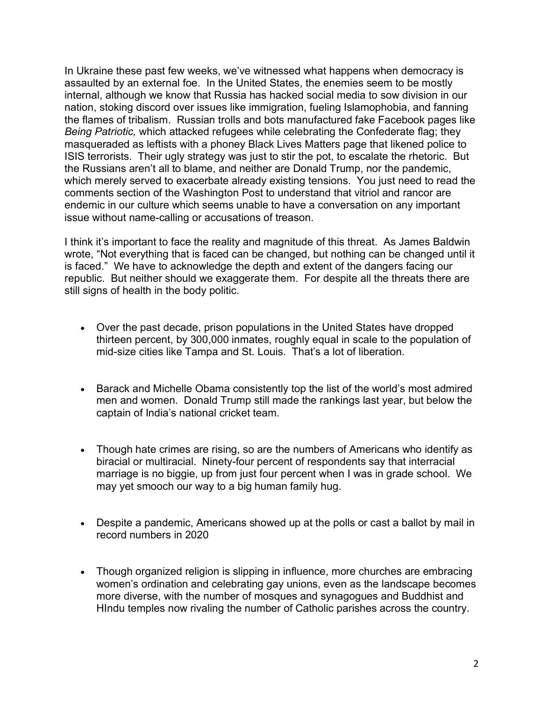In Ukraine these past few weeks, we've witnessed what happens when democracy is assaulted by an external foe. In the United States, the enemies seem to be mostly internal, although we know that Russia has hacked social media to sow division in our nation, stoking discord over issues like immigration, fueling Islamophobia, and fanning the flames of tribalism. Russian trolls and bots manufactured fake Facebook pages like *Being Patriotic,* which attacked refugees while celebrating the Confederate flag; they masqueraded as leftists with a phoney Black Lives Matters page that likened police to ISIS terrorists. Their ugly strategy was just to stir the pot, to escalate the rhetoric. But the Russians aren't all to blame, and neither are Donald Trump, nor the pandemic, which merely served to exacerbate already existing tensions. You just need to read the comments section of the Washington Post to understand that vitriol and rancor are endemic in our culture which seems unable to have a conversation on any important issue without name-calling or accusations of treason.

I think it's important to face the reality and magnitude of this threat. As James Baldwin wrote, "Not everything that is faced can be changed, but nothing can be changed until it is faced." We have to acknowledge the depth and extent of the dangers facing our republic. But neither should we exaggerate them. For despite all the threats there are still signs of health in the body politic.

- Over the past decade, prison populations in the United States have dropped thirteen percent, by 300,000 inmates, roughly equal in scale to the population of mid-size cities like Tampa and St. Louis. That's a lot of liberation.
- Barack and Michelle Obama consistently top the list of the world's most admired men and women. Donald Trump still made the rankings last year, but below the captain of India's national cricket team.
- Though hate crimes are rising, so are the numbers of Americans who identify as biracial or multiracial. Ninety-four percent of respondents say that interracial marriage is no biggie, up from just four percent when I was in grade school. We may yet smooch our way to a big human family hug.
- Despite a pandemic, Americans showed up at the polls or cast a ballot by mail in record numbers in 2020
- Though organized religion is slipping in influence, more churches are embracing women's ordination and celebrating gay unions, even as the landscape becomes more diverse, with the number of mosques and synagogues and Buddhist and HIndu temples now rivaling the number of Catholic parishes across the country.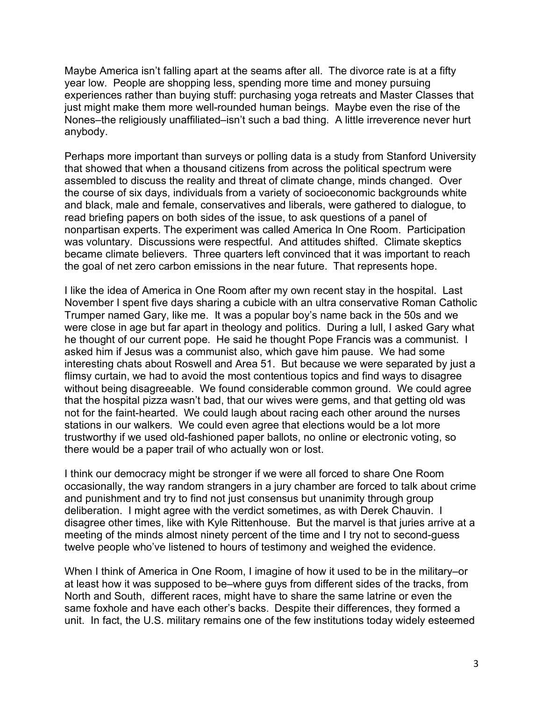Maybe America isn't falling apart at the seams after all. The divorce rate is at a fifty year low. People are shopping less, spending more time and money pursuing experiences rather than buying stuff: purchasing yoga retreats and Master Classes that just might make them more well-rounded human beings. Maybe even the rise of the Nones–the religiously unaffiliated–isn't such a bad thing. A little irreverence never hurt anybody.

Perhaps more important than surveys or polling data is a study from Stanford University that showed that when a thousand citizens from across the political spectrum were assembled to discuss the reality and threat of climate change, minds changed. Over the course of six days, individuals from a variety of socioeconomic backgrounds white and black, male and female, conservatives and liberals, were gathered to dialogue, to read briefing papers on both sides of the issue, to ask questions of a panel of nonpartisan experts. The experiment was called America In One Room. Participation was voluntary. Discussions were respectful. And attitudes shifted. Climate skeptics became climate believers. Three quarters left convinced that it was important to reach the goal of net zero carbon emissions in the near future. That represents hope.

I like the idea of America in One Room after my own recent stay in the hospital. Last November I spent five days sharing a cubicle with an ultra conservative Roman Catholic Trumper named Gary, like me. It was a popular boy's name back in the 50s and we were close in age but far apart in theology and politics. During a lull, I asked Gary what he thought of our current pope. He said he thought Pope Francis was a communist. I asked him if Jesus was a communist also, which gave him pause. We had some interesting chats about Roswell and Area 51. But because we were separated by just a flimsy curtain, we had to avoid the most contentious topics and find ways to disagree without being disagreeable. We found considerable common ground. We could agree that the hospital pizza wasn't bad, that our wives were gems, and that getting old was not for the faint-hearted. We could laugh about racing each other around the nurses stations in our walkers. We could even agree that elections would be a lot more trustworthy if we used old-fashioned paper ballots, no online or electronic voting, so there would be a paper trail of who actually won or lost.

I think our democracy might be stronger if we were all forced to share One Room occasionally, the way random strangers in a jury chamber are forced to talk about crime and punishment and try to find not just consensus but unanimity through group deliberation. I might agree with the verdict sometimes, as with Derek Chauvin. I disagree other times, like with Kyle Rittenhouse. But the marvel is that juries arrive at a meeting of the minds almost ninety percent of the time and I try not to second-guess twelve people who've listened to hours of testimony and weighed the evidence.

When I think of America in One Room, I imagine of how it used to be in the military–or at least how it was supposed to be–where guys from different sides of the tracks, from North and South, different races, might have to share the same latrine or even the same foxhole and have each other's backs. Despite their differences, they formed a unit. In fact, the U.S. military remains one of the few institutions today widely esteemed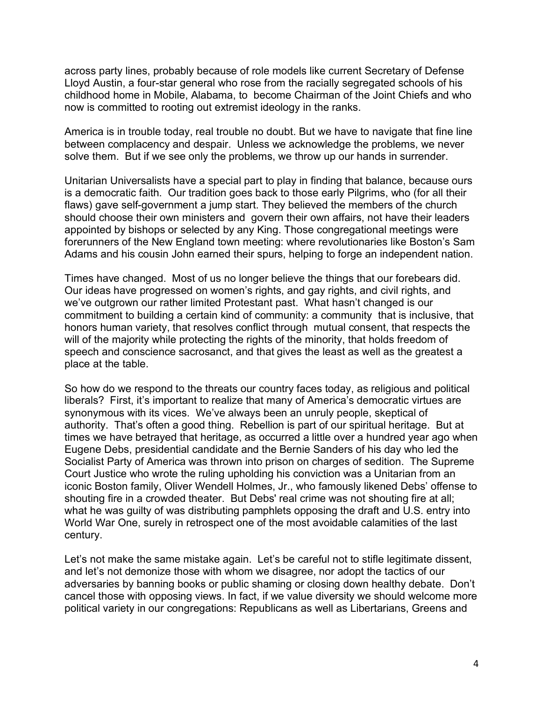across party lines, probably because of role models like current Secretary of Defense Lloyd Austin, a four-star general who rose from the racially segregated schools of his childhood home in Mobile, Alabama, to become Chairman of the Joint Chiefs and who now is committed to rooting out extremist ideology in the ranks.

America is in trouble today, real trouble no doubt. But we have to navigate that fine line between complacency and despair. Unless we acknowledge the problems, we never solve them. But if we see only the problems, we throw up our hands in surrender.

Unitarian Universalists have a special part to play in finding that balance, because ours is a democratic faith. Our tradition goes back to those early Pilgrims, who (for all their flaws) gave self-government a jump start. They believed the members of the church should choose their own ministers and govern their own affairs, not have their leaders appointed by bishops or selected by any King. Those congregational meetings were forerunners of the New England town meeting: where revolutionaries like Boston's Sam Adams and his cousin John earned their spurs, helping to forge an independent nation.

Times have changed. Most of us no longer believe the things that our forebears did. Our ideas have progressed on women's rights, and gay rights, and civil rights, and we've outgrown our rather limited Protestant past. What hasn't changed is our commitment to building a certain kind of community: a community that is inclusive, that honors human variety, that resolves conflict through mutual consent, that respects the will of the majority while protecting the rights of the minority, that holds freedom of speech and conscience sacrosanct, and that gives the least as well as the greatest a place at the table.

So how do we respond to the threats our country faces today, as religious and political liberals? First, it's important to realize that many of America's democratic virtues are synonymous with its vices. We've always been an unruly people, skeptical of authority. That's often a good thing. Rebellion is part of our spiritual heritage. But at times we have betrayed that heritage, as occurred a little over a hundred year ago when Eugene Debs, presidential candidate and the Bernie Sanders of his day who led the Socialist Party of America was thrown into prison on charges of sedition. The Supreme Court Justice who wrote the ruling upholding his conviction was a Unitarian from an iconic Boston family, Oliver Wendell Holmes, Jr., who famously likened Debs' offense to shouting fire in a crowded theater. But Debs' real crime was not shouting fire at all; what he was guilty of was distributing pamphlets opposing the draft and U.S. entry into World War One, surely in retrospect one of the most avoidable calamities of the last century.

Let's not make the same mistake again. Let's be careful not to stifle legitimate dissent, and let's not demonize those with whom we disagree, nor adopt the tactics of our adversaries by banning books or public shaming or closing down healthy debate. Don't cancel those with opposing views. In fact, if we value diversity we should welcome more political variety in our congregations: Republicans as well as Libertarians, Greens and